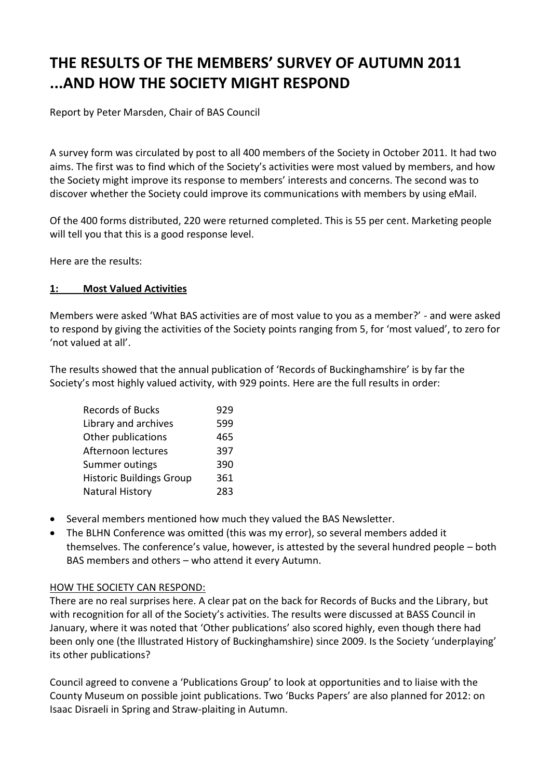# **THE RESULTS OF THE MEMBERS' SURVEY OF AUTUMN 2011 ...AND HOW THE SOCIETY MIGHT RESPOND**

Report by Peter Marsden, Chair of BAS Council

A survey form was circulated by post to all 400 members of the Society in October 2011. It had two aims. The first was to find which of the Society's activities were most valued by members, and how the Society might improve its response to members' interests and concerns. The second was to discover whether the Society could improve its communications with members by using eMail.

Of the 400 forms distributed, 220 were returned completed. This is 55 per cent. Marketing people will tell you that this is a good response level.

Here are the results:

# **1: Most Valued Activities**

Members were asked 'What BAS activities are of most value to you as a member?' - and were asked to respond by giving the activities of the Society points ranging from 5, for 'most valued', to zero for 'not valued at all'.

The results showed that the annual publication of 'Records of Buckinghamshire' is by far the Society's most highly valued activity, with 929 points. Here are the full results in order:

| <b>Records of Bucks</b>         | 929 |
|---------------------------------|-----|
| Library and archives            | 599 |
| Other publications              | 465 |
| Afternoon lectures              | 397 |
| Summer outings                  | 390 |
| <b>Historic Buildings Group</b> | 361 |
| Natural History                 | 283 |

- Several members mentioned how much they valued the BAS Newsletter.
- The BLHN Conference was omitted (this was my error), so several members added it themselves. The conference's value, however, is attested by the several hundred people – both BAS members and others – who attend it every Autumn.

# HOW THE SOCIETY CAN RESPOND:

There are no real surprises here. A clear pat on the back for Records of Bucks and the Library, but with recognition for all of the Society's activities. The results were discussed at BASS Council in January, where it was noted that 'Other publications' also scored highly, even though there had been only one (the Illustrated History of Buckinghamshire) since 2009. Is the Society 'underplaying' its other publications?

Council agreed to convene a 'Publications Group' to look at opportunities and to liaise with the County Museum on possible joint publications. Two 'Bucks Papers' are also planned for 2012: on Isaac Disraeli in Spring and Straw-plaiting in Autumn.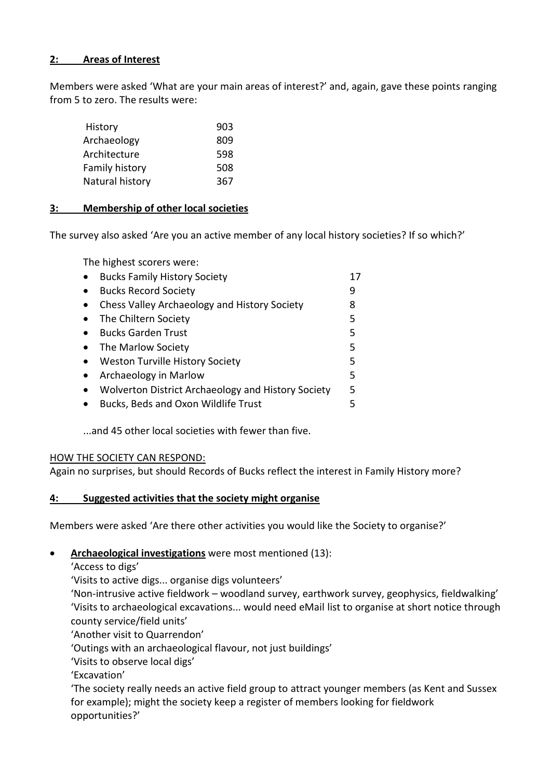# **2: Areas of Interest**

Members were asked 'What are your main areas of interest?' and, again, gave these points ranging from 5 to zero. The results were:

| History         | 903 |
|-----------------|-----|
| Archaeology     | 809 |
| Architecture    | 598 |
| Family history  | 508 |
| Natural history | 367 |

## **3: Membership of other local societies**

The survey also asked 'Are you an active member of any local history societies? If so which?'

The highest scorers were:

| <b>Bucks Family History Society</b>                |   |
|----------------------------------------------------|---|
| <b>Bucks Record Society</b>                        | 9 |
| Chess Valley Archaeology and History Society       | 8 |
| The Chiltern Society                               | 5 |
| <b>Bucks Garden Trust</b>                          | 5 |
| The Marlow Society                                 | 5 |
| Weston Turville History Society                    | 5 |
| Archaeology in Marlow                              | 5 |
| Wolverton District Archaeology and History Society | 5 |
| Bucks, Beds and Oxon Wildlife Trust                | 5 |
|                                                    |   |

...and 45 other local societies with fewer than five.

## HOW THE SOCIETY CAN RESPOND:

Again no surprises, but should Records of Bucks reflect the interest in Family History more?

## **4: Suggested activities that the society might organise**

Members were asked 'Are there other activities you would like the Society to organise?'

- **Archaeological investigations** were most mentioned (13):
	- 'Access to digs'

'Visits to active digs... organise digs volunteers'

'Non-intrusive active fieldwork – woodland survey, earthwork survey, geophysics, fieldwalking' 'Visits to archaeological excavations... would need eMail list to organise at short notice through county service/field units'

'Another visit to Quarrendon'

'Outings with an archaeological flavour, not just buildings'

'Visits to observe local digs'

'Excavation'

'The society really needs an active field group to attract younger members (as Kent and Sussex for example); might the society keep a register of members looking for fieldwork opportunities?'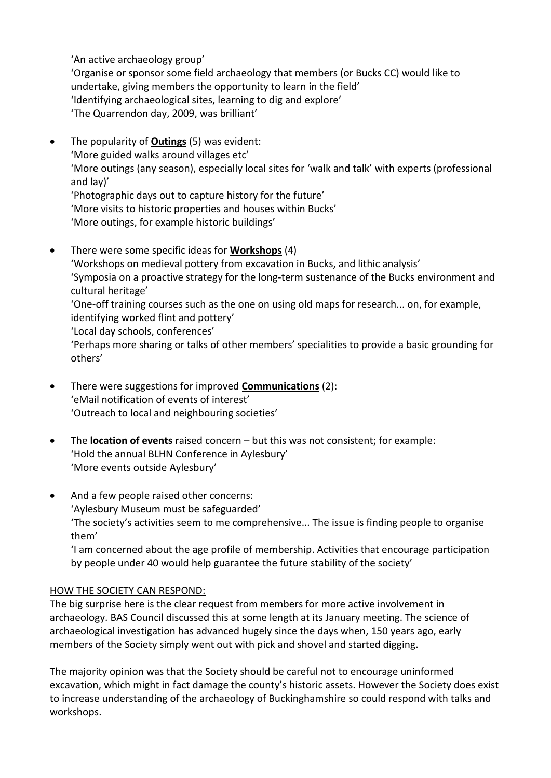'An active archaeology group'

'Organise or sponsor some field archaeology that members (or Bucks CC) would like to undertake, giving members the opportunity to learn in the field' 'Identifying archaeological sites, learning to dig and explore' 'The Quarrendon day, 2009, was brilliant'

- The popularity of **Outings** (5) was evident: 'More guided walks around villages etc' 'More outings (any season), especially local sites for 'walk and talk' with experts (professional and lay)' 'Photographic days out to capture history for the future' 'More visits to historic properties and houses within Bucks' 'More outings, for example historic buildings'
- There were some specific ideas for **Workshops** (4) 'Workshops on medieval pottery from excavation in Bucks, and lithic analysis' 'Symposia on a proactive strategy for the long-term sustenance of the Bucks environment and cultural heritage' 'One-off training courses such as the one on using old maps for research... on, for example, identifying worked flint and pottery' 'Local day schools, conferences' 'Perhaps more sharing or talks of other members' specialities to provide a basic grounding for others'
- There were suggestions for improved **Communications** (2): 'eMail notification of events of interest' 'Outreach to local and neighbouring societies'
- The **location of events** raised concern but this was not consistent; for example: 'Hold the annual BLHN Conference in Aylesbury' 'More events outside Aylesbury'
- And a few people raised other concerns: 'Aylesbury Museum must be safeguarded' 'The society's activities seem to me comprehensive... The issue is finding people to organise them'

'I am concerned about the age profile of membership. Activities that encourage participation by people under 40 would help guarantee the future stability of the society'

# HOW THE SOCIETY CAN RESPOND:

The big surprise here is the clear request from members for more active involvement in archaeology. BAS Council discussed this at some length at its January meeting. The science of archaeological investigation has advanced hugely since the days when, 150 years ago, early members of the Society simply went out with pick and shovel and started digging.

The majority opinion was that the Society should be careful not to encourage uninformed excavation, which might in fact damage the county's historic assets. However the Society does exist to increase understanding of the archaeology of Buckinghamshire so could respond with talks and workshops.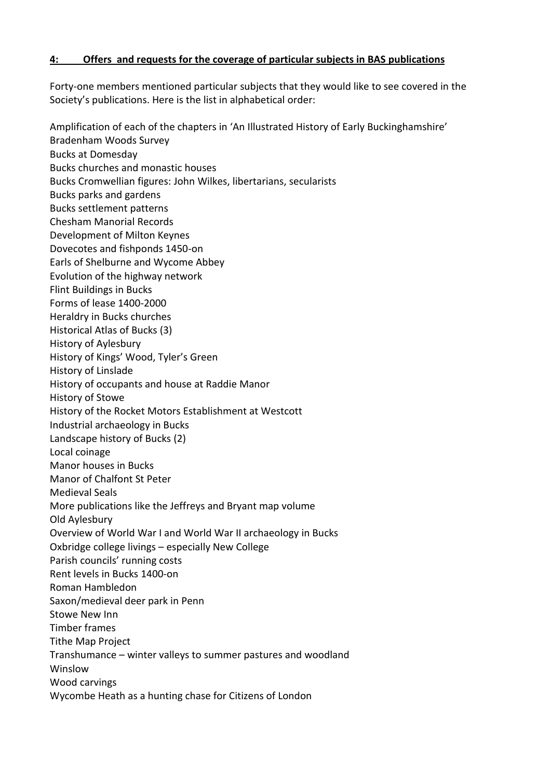## **4: Offers and requests for the coverage of particular subjects in BAS publications**

Forty-one members mentioned particular subjects that they would like to see covered in the Society's publications. Here is the list in alphabetical order:

Amplification of each of the chapters in 'An Illustrated History of Early Buckinghamshire' Bradenham Woods Survey Bucks at Domesday Bucks churches and monastic houses Bucks Cromwellian figures: John Wilkes, libertarians, secularists Bucks parks and gardens Bucks settlement patterns Chesham Manorial Records Development of Milton Keynes Dovecotes and fishponds 1450-on Earls of Shelburne and Wycome Abbey Evolution of the highway network Flint Buildings in Bucks Forms of lease 1400-2000 Heraldry in Bucks churches Historical Atlas of Bucks (3) History of Aylesbury History of Kings' Wood, Tyler's Green History of Linslade History of occupants and house at Raddie Manor History of Stowe History of the Rocket Motors Establishment at Westcott Industrial archaeology in Bucks Landscape history of Bucks (2) Local coinage Manor houses in Bucks Manor of Chalfont St Peter Medieval Seals More publications like the Jeffreys and Bryant map volume Old Aylesbury Overview of World War I and World War II archaeology in Bucks Oxbridge college livings – especially New College Parish councils' running costs Rent levels in Bucks 1400-on Roman Hambledon Saxon/medieval deer park in Penn Stowe New Inn Timber frames Tithe Map Project Transhumance – winter valleys to summer pastures and woodland Winslow Wood carvings Wycombe Heath as a hunting chase for Citizens of London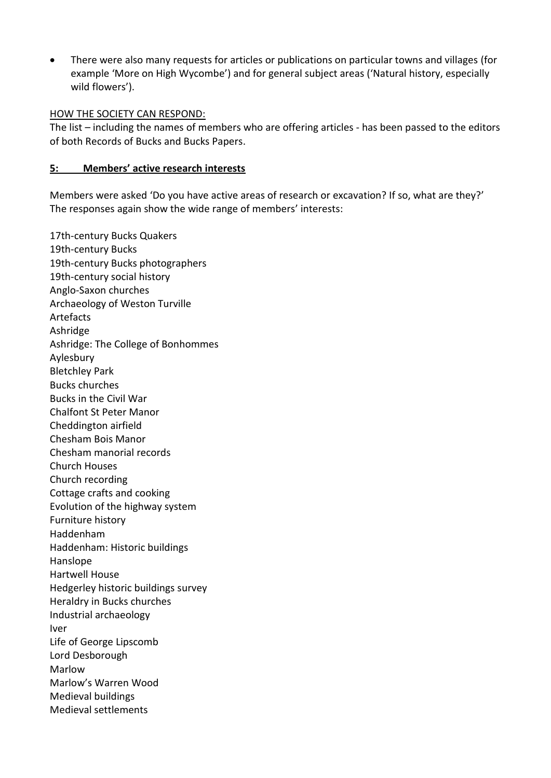There were also many requests for articles or publications on particular towns and villages (for example 'More on High Wycombe') and for general subject areas ('Natural history, especially wild flowers').

## HOW THE SOCIETY CAN RESPOND:

The list – including the names of members who are offering articles - has been passed to the editors of both Records of Bucks and Bucks Papers.

## **5: Members' active research interests**

Members were asked 'Do you have active areas of research or excavation? If so, what are they?' The responses again show the wide range of members' interests:

17th-century Bucks Quakers 19th-century Bucks 19th-century Bucks photographers 19th-century social history Anglo-Saxon churches Archaeology of Weston Turville Artefacts Ashridge Ashridge: The College of Bonhommes Aylesbury Bletchley Park Bucks churches Bucks in the Civil War Chalfont St Peter Manor Cheddington airfield Chesham Bois Manor Chesham manorial records Church Houses Church recording Cottage crafts and cooking Evolution of the highway system Furniture history Haddenham Haddenham: Historic buildings Hanslope Hartwell House Hedgerley historic buildings survey Heraldry in Bucks churches Industrial archaeology Iver Life of George Lipscomb Lord Desborough Marlow Marlow's Warren Wood Medieval buildings Medieval settlements